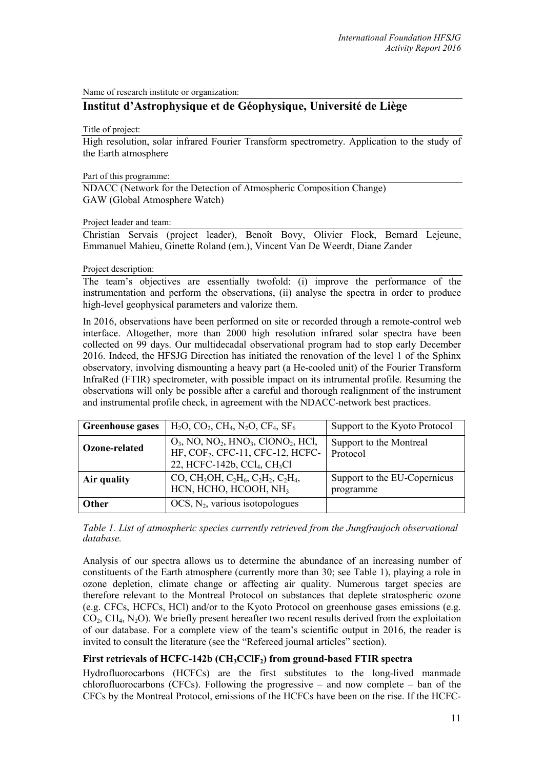Name of research institute or organization:

# **Institut d'Astrophysique et de Géophysique, Université de Liège**

### Title of project:

High resolution, solar infrared Fourier Transform spectrometry. Application to the study of the Earth atmosphere

## Part of this programme:

NDACC (Network for the Detection of Atmospheric Composition Change) GAW (Global Atmosphere Watch)

## Project leader and team:

Christian Servais (project leader), Benoît Bovy, Olivier Flock, Bernard Lejeune, Emmanuel Mahieu, Ginette Roland (em.), Vincent Van De Weerdt, Diane Zander

## Project description:

The team's objectives are essentially twofold: (i) improve the performance of the instrumentation and perform the observations, (ii) analyse the spectra in order to produce high-level geophysical parameters and valorize them.

In 2016, observations have been performed on site or recorded through a remote-control web interface. Altogether, more than 2000 high resolution infrared solar spectra have been collected on 99 days. Our multidecadal observational program had to stop early December 2016. Indeed, the HFSJG Direction has initiated the renovation of the level 1 of the Sphinx observatory, involving dismounting a heavy part (a He-cooled unit) of the Fourier Transform InfraRed (FTIR) spectrometer, with possible impact on its intrumental profile. Resuming the observations will only be possible after a careful and thorough realignment of the instrument and instrumental profile check, in agreement with the NDACC-network best practices.

| <b>Greenhouse gases</b> | $H_2O, CO_2, CH_4, N_2O, CF_4, SF_6$                                                                                                                                               | Support to the Kyoto Protocol             |
|-------------------------|------------------------------------------------------------------------------------------------------------------------------------------------------------------------------------|-------------------------------------------|
| Ozone-related           | $O_3$ , NO, NO <sub>2</sub> , HNO <sub>3</sub> , ClONO <sub>2</sub> , HCl,<br>HF, COF <sub>2</sub> , CFC-11, CFC-12, HCFC-<br>22, HCFC-142b, CCl <sub>4</sub> , CH <sub>3</sub> Cl | Support to the Montreal<br>Protocol       |
| Air quality             | CO, CH <sub>3</sub> OH, C <sub>2</sub> H <sub>6</sub> , C <sub>2</sub> H <sub>2</sub> , C <sub>2</sub> H <sub>4</sub> ,<br>HCN, HCHO, HCOOH, NH <sub>3</sub>                       | Support to the EU-Copernicus<br>programme |
| <b>Other</b>            | $OCS$ , $N_2$ , various isotopologues                                                                                                                                              |                                           |

## *Table 1. List of atmospheric species currently retrieved from the Jungfraujoch observational database.*

Analysis of our spectra allows us to determine the abundance of an increasing number of constituents of the Earth atmosphere (currently more than 30; see Table 1), playing a role in ozone depletion, climate change or affecting air quality. Numerous target species are therefore relevant to the Montreal Protocol on substances that deplete stratospheric ozone (e.g. CFCs, HCFCs, HCl) and/or to the Kyoto Protocol on greenhouse gases emissions (e.g.  $CO<sub>2</sub>$ , CH<sub>4</sub>, N<sub>2</sub>O). We briefly present hereafter two recent results derived from the exploitation of our database. For a complete view of the team's scientific output in 2016, the reader is invited to consult the literature (see the "Refereed journal articles" section).

## **First retrievals of HCFC-142b (CH3CClF2) from ground-based FTIR spectra**

Hydrofluorocarbons (HCFCs) are the first substitutes to the long-lived manmade chlorofluorocarbons (CFCs). Following the progressive – and now complete – ban of the CFCs by the Montreal Protocol, emissions of the HCFCs have been on the rise. If the HCFC-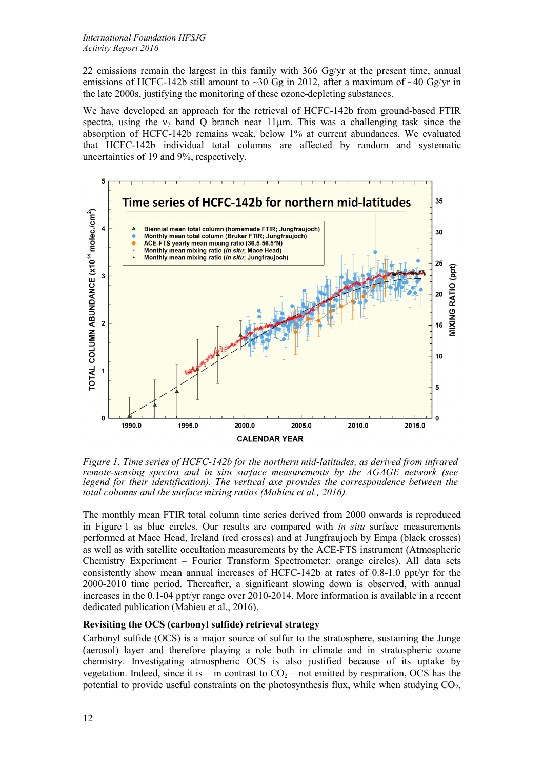22 emissions remain the largest in this family with 366 Gg/yr at the present time, annual emissions of HCFC-142b still amount to  $\sim$ 30 Gg in 2012, after a maximum of  $\sim$ 40 Gg/yr in the late 2000s, justifying the monitoring of these ozone-depleting substances.

We have developed an approach for the retrieval of HCFC-142b from ground-based FTIR spectra, using the  $v_7$  band Q branch near 11µm. This was a challenging task since the absorption of HCFC-142b remains weak, below 1% at current abundances. We evaluated that HCFC-142b individual total columns are affected by random and systematic uncertainties of 19 and 9%, respectively.



*Figure 1. Time series of HCFC-142b for the northern mid-latitudes, as derived from infrared remote-sensing spectra and in situ surface measurements by the AGAGE network (see legend for their identification). The vertical axe provides the correspondence between the total columns and the surface mixing ratios (Mahieu et al., 2016).*

The monthly mean FTIR total column time series derived from 2000 onwards is reproduced in Figure 1 as blue circles. Our results are compared with *in situ* surface measurements performed at Mace Head, Ireland (red crosses) and at Jungfraujoch by Empa (black crosses) as well as with satellite occultation measurements by the ACE-FTS instrument (Atmospheric Chemistry Experiment – Fourier Transform Spectrometer; orange circles). All data sets consistently show mean annual increases of HCFC-142b at rates of 0.8-1.0 ppt/yr for the 2000-2010 time period. Thereafter, a significant slowing down is observed, with annual increases in the 0.1-04 ppt/yr range over 2010-2014. More information is available in a recent dedicated publication (Mahieu et al., 2016).

## **Revisiting the OCS (carbonyl sulfide) retrieval strategy**

Carbonyl sulfide (OCS) is a major source of sulfur to the stratosphere, sustaining the Junge (aerosol) layer and therefore playing a role both in climate and in stratospheric ozone chemistry. Investigating atmospheric OCS is also justified because of its uptake by vegetation. Indeed, since it is – in contrast to  $CO_2$  – not emitted by respiration, OCS has the potential to provide useful constraints on the photosynthesis flux, while when studying  $CO<sub>2</sub>$ ,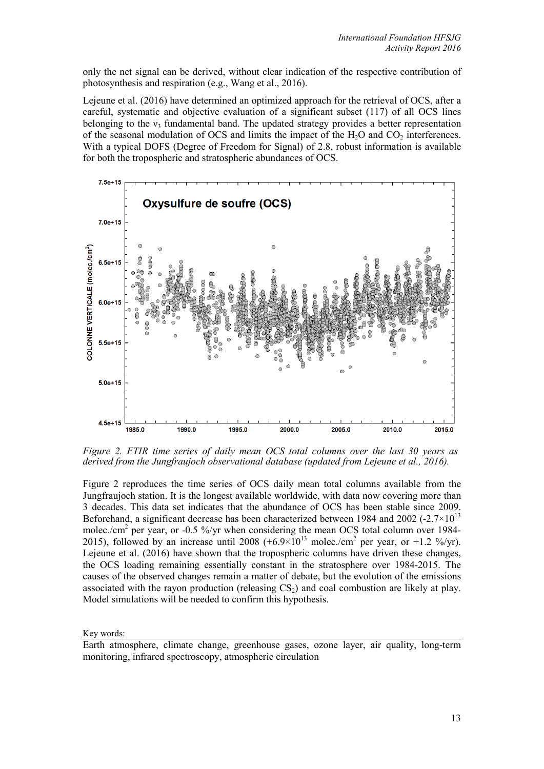only the net signal can be derived, without clear indication of the respective contribution of photosynthesis and respiration (e.g., Wang et al., 2016).

Lejeune et al. (2016) have determined an optimized approach for the retrieval of OCS, after a careful, systematic and objective evaluation of a significant subset (117) of all OCS lines belonging to the  $v_3$  fundamental band. The updated strategy provides a better representation of the seasonal modulation of OCS and limits the impact of the  $H_2O$  and  $CO_2$  interferences. With a typical DOFS (Degree of Freedom for Signal) of 2.8, robust information is available for both the tropospheric and stratospheric abundances of OCS.



*Figure 2. FTIR time series of daily mean OCS total columns over the last 30 years as derived from the Jungfraujoch observational database (updated from Lejeune et al., 2016).* 

Figure 2 reproduces the time series of OCS daily mean total columns available from the Jungfraujoch station. It is the longest available worldwide, with data now covering more than 3 decades. This data set indicates that the abundance of OCS has been stable since 2009. Beforehand, a significant decrease has been characterized between 1984 and 2002 (-2.7 $\times$ 10<sup>13</sup> molec./cm<sup>2</sup> per year, or -0.5 %/yr when considering the mean OCS total column over 1984-2015), followed by an increase until 2008  $(+6.9\times10^{13} \text{ molec/cm}^2 \text{ per year, or }+1.2 \frac{\%}{\text{yr}})$ . Lejeune et al. (2016) have shown that the tropospheric columns have driven these changes, the OCS loading remaining essentially constant in the stratosphere over 1984-2015. The causes of the observed changes remain a matter of debate, but the evolution of the emissions associated with the rayon production (releasing  $CS<sub>2</sub>$ ) and coal combustion are likely at play. Model simulations will be needed to confirm this hypothesis.

Key words:

Earth atmosphere, climate change, greenhouse gases, ozone layer, air quality, long-term monitoring, infrared spectroscopy, atmospheric circulation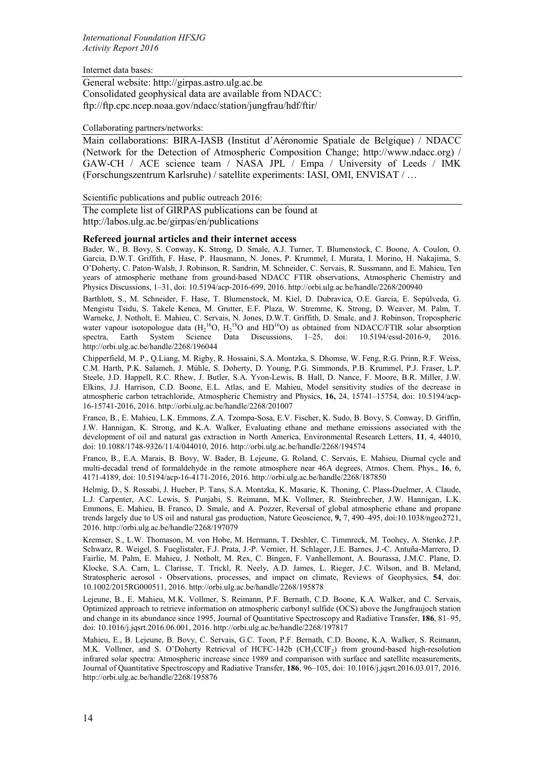Internet data bases:

General website: http://girpas.astro.ulg.ac.be Consolidated geophysical data are available from NDACC: ftp://ftp.cpc.ncep.noaa.gov/ndacc/station/jungfrau/hdf/ftir/

## Collaborating partners/networks:

Main collaborations: BIRA-IASB (Institut d'Aéronomie Spatiale de Belgique) / NDACC (Network for the Detection of Atmospheric Composition Change; http://www.ndacc.org) / GAW-CH / ACE science team / NASA JPL / Empa / University of Leeds / IMK (Forschungszentrum Karlsruhe) / satellite experiments: IASI, OMI, ENVISAT / …

### Scientific publications and public outreach 2016:

The complete list of GIRPAS publications can be found at http://labos.ulg.ac.be/girpas/en/publications

### **Refereed journal articles and their internet access**

Bader, W., B. Bovy, S. Conway, K. Strong, D. Smale, A.J. Turner, T. Blumenstock, C. Boone, A. Coulon, O. Garcia, D.W.T. Griffith, F. Hase, P. Hausmann, N. Jones, P. Krummel, I. Murata, I. Morino, H. Nakajima, S. O'Doherty, C. Paton-Walsh, J. Robinson, R. Sandrin, M. Schneider, C. Servais, R. Sussmann, and E. Mahieu, Ten years of atmospheric methane from ground-based NDACC FTIR observations, Atmospheric Chemistry and Physics Discussions, 1–31, doi: 10.5194/acp-2016-699, 2016. http://orbi.ulg.ac.be/handle/2268/200940

Barthlott, S., M. Schneider, F. Hase, T. Blumenstock, M. Kiel, D. Dubravica, O.E. García, E. Sepúlveda, G. Mengistu Tsidu, S. Takele Kenea, M. Grutter, E.F. Plaza, W. Stremme, K. Strong, D. Weaver, M. Palm, T. Warneke, J. Notholt, E. Mahieu, C. Servais, N. Jones, D.W.T. Griffith, D. Smale, and J. Robinson, Tropospheric water vapour isotopologue data  $(H_2^{16}O, H_2^{18}O)$  and HD<sup>16</sup>O) as obtained from NDACC/FTIR solar absorption spectra, Earth System Science Data Discussions, 1–25, doi: 10.5194/essd-2016-9, 2016. http://orbi.ulg.ac.be/handle/2268/196044

Chipperfield, M. P., Q.Liang, M. Rigby, R. Hossaini, S.A. Montzka, S. Dhomse, W. Feng, R.G. Prinn, R.F. Weiss, C.M. Harth, P.K. Salameh, J. Mühle, S. Doherty, D. Young, P.G. Simmonds, P.B. Krummel, P.J. Fraser, L.P. Steele, J.D. Happell, R.C. Rhew, J. Butler, S.A. Yvon-Lewis, B. Hall, D. Nance, F. Moore, B.R. Miller, J.W. Elkins, J.J. Harrison, C.D. Boone, E.L. Atlas, and E. Mahieu, Model sensitivity studies of the decrease in atmospheric carbon tetrachloride, Atmospheric Chemistry and Physics, **16,** 24, 15741–15754, doi: 10.5194/acp-16-15741-2016, 2016. http://orbi.ulg.ac.be/handle/2268/201007

Franco, B., E. Mahieu, L.K. Emmons, Z.A. Tzompa-Sosa, E.V. Fischer, K. Sudo, B. Bovy, S. Conway, D. Griffin, J.W. Hannigan, K. Strong, and K.A. Walker, Evaluating ethane and methane emissions associated with the development of oil and natural gas extraction in North America, Environmental Research Letters, **11**, 4, 44010, doi: 10.1088/1748-9326/11/4/044010, 2016. http://orbi.ulg.ac.be/handle/2268/194574

Franco, B., E.A. Marais, B. Bovy, W. Bader, B. Lejeune, G. Roland, C. Servais, E. Mahieu, Diurnal cycle and multi-decadal trend of formaldehyde in the remote atmosphere near 46A degrees, Atmos. Chem. Phys., **16**, 6, 4171-4189, doi: 10.5194/acp-16-4171-2016, 2016. http://orbi.ulg.ac.be/handle/2268/187850

Helmig, D., S. Rossabi, J. Hueber, P. Tans, S.A. Montzka, K. Masarie, K. Thoning, C. Plass-Duelmer, A. Claude, L.J. Carpenter, A.C. Lewis, S. Punjabi, S. Reimann, M.K. Vollmer, R. Steinbrecher, J.W. Hannigan, L.K. Emmons, E. Mahieu, B. Franco, D. Smale, and A. Pozzer, Reversal of global atmospheric ethane and propane trends largely due to US oil and natural gas production, Nature Geoscience, **9,** 7, 490–495, doi:10.1038/ngeo2721, 2016. http://orbi.ulg.ac.be/handle/2268/197079

Kremser, S., L.W. Thomason, M. von Hobe, M. Hermann, T. Deshler, C. Timmreck, M. Toohey, A. Stenke, J.P. Schwarz, R. Weigel, S. Fueglistaler, F.J. Prata, J.-P. Vernier, H. Schlager, J.E. Barnes, J.-C. Antuña-Marrero, D. Fairlie, M. Palm, E. Mahieu, J. Notholt, M. Rex, C. Bingen, F. Vanhellemont, A. Bourassa, J.M.C. Plane, D. Klocke, S.A. Carn, L. Clarisse, T. Trickl, R. Neely, A.D. James, L. Rieger, J.C. Wilson, and B. Meland, Stratospheric aerosol - Observations, processes, and impact on climate, Reviews of Geophysics, **54**, doi: 10.1002/2015RG000511, 2016. http://orbi.ulg.ac.be/handle/2268/195878

Lejeune, B., E. Mahieu, M.K. Vollmer, S. Reimann, P.F. Bernath, C.D. Boone, K.A. Walker, and C. Servais, Optimized approach to retrieve information on atmospheric carbonyl sulfide (OCS) above the Jungfraujoch station and change in its abundance since 1995, Journal of Quantitative Spectroscopy and Radiative Transfer, **186**, 81–95, doi: 10.1016/j.jqsrt.2016.06.001, 2016. http://orbi.ulg.ac.be/handle/2268/197817

Mahieu, E., B. Lejeune, B. Bovy, C. Servais, G.C. Toon, P.F. Bernath, C.D. Boone, K.A. Walker, S. Reimann, M.K. Vollmer, and S. O'Doherty Retrieval of HCFC-142b (CH<sub>3</sub>CClF<sub>2</sub>) from ground-based high-resolution infrared solar spectra: Atmospheric increase since 1989 and comparison with surface and satellite measurements, Journal of Quantitative Spectroscopy and Radiative Transfer, **186**, 96–105, doi: 10.1016/j.jqsrt.2016.03.017, 2016. http://orbi.ulg.ac.be/handle/2268/195876